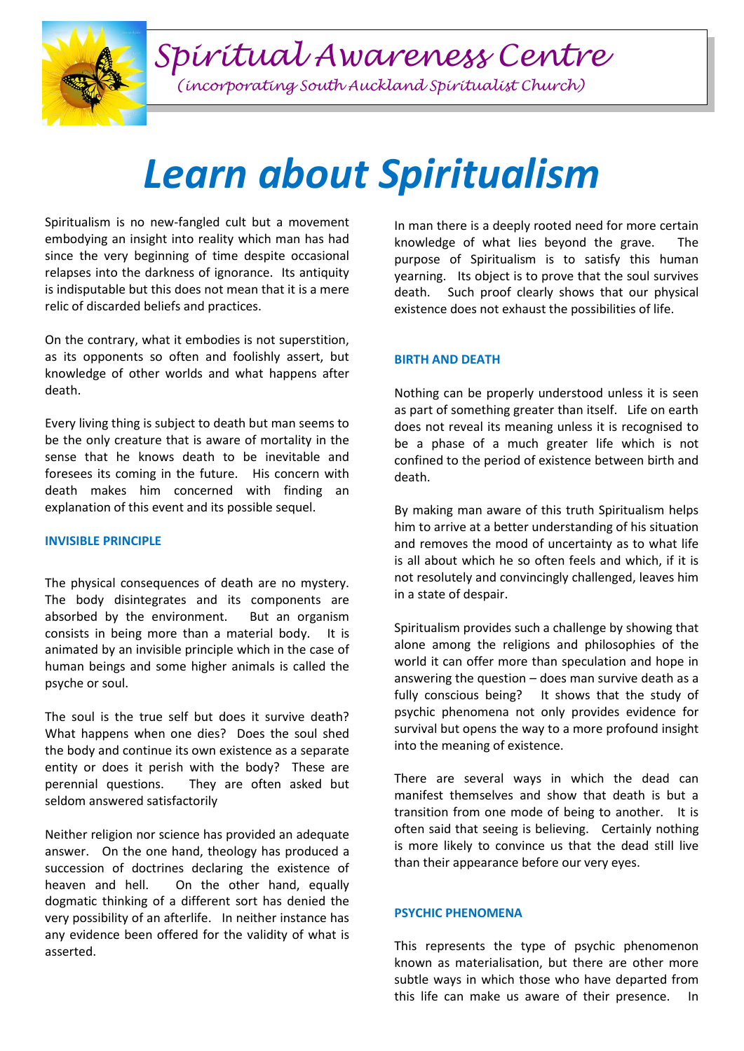

*(incorporating South Auckland Spiritualist Church)*

# *Learn about Spiritualism*

Spiritualism is no new-fangled cult but a movement embodying an insight into reality which man has had since the very beginning of time despite occasional relapses into the darkness of ignorance. Its antiquity is indisputable but this does not mean that it is a mere relic of discarded beliefs and practices.

On the contrary, what it embodies is not superstition, as its opponents so often and foolishly assert, but knowledge of other worlds and what happens after death.

Every living thing is subject to death but man seems to be the only creature that is aware of mortality in the sense that he knows death to be inevitable and foresees its coming in the future. His concern with death makes him concerned with finding an explanation of this event and its possible sequel.

#### **INVISIBLE PRINCIPLE**

The physical consequences of death are no mystery. The body disintegrates and its components are absorbed by the environment. But an organism consists in being more than a material body. It is animated by an invisible principle which in the case of human beings and some higher animals is called the psyche or soul.

The soul is the true self but does it survive death? What happens when one dies? Does the soul shed the body and continue its own existence as a separate entity or does it perish with the body? These are perennial questions. They are often asked but seldom answered satisfactorily

Neither religion nor science has provided an adequate answer. On the one hand, theology has produced a succession of doctrines declaring the existence of heaven and hell. On the other hand, equally dogmatic thinking of a different sort has denied the very possibility of an afterlife. In neither instance has any evidence been offered for the validity of what is asserted.

In man there is a deeply rooted need for more certain knowledge of what lies beyond the grave. The purpose of Spiritualism is to satisfy this human yearning. Its object is to prove that the soul survives death. Such proof clearly shows that our physical existence does not exhaust the possibilities of life.

### **BIRTH AND DEATH**

Nothing can be properly understood unless it is seen as part of something greater than itself. Life on earth does not reveal its meaning unless it is recognised to be a phase of a much greater life which is not confined to the period of existence between birth and death.

By making man aware of this truth Spiritualism helps him to arrive at a better understanding of his situation and removes the mood of uncertainty as to what life is all about which he so often feels and which, if it is not resolutely and convincingly challenged, leaves him in a state of despair.

Spiritualism provides such a challenge by showing that alone among the religions and philosophies of the world it can offer more than speculation and hope in answering the question  $-$  does man survive death as a fully conscious being? It shows that the study of psychic phenomena not only provides evidence for survival but opens the way to a more profound insight into the meaning of existence.

There are several ways in which the dead can manifest themselves and show that death is but a transition from one mode of being to another. It is often said that seeing is believing. Certainly nothing is more likely to convince us that the dead still live than their appearance before our very eyes.

### **PSYCHIC PHENOMENA**

This represents the type of psychic phenomenon known as materialisation, but there are other more subtle ways in which those who have departed from this life can make us aware of their presence. In